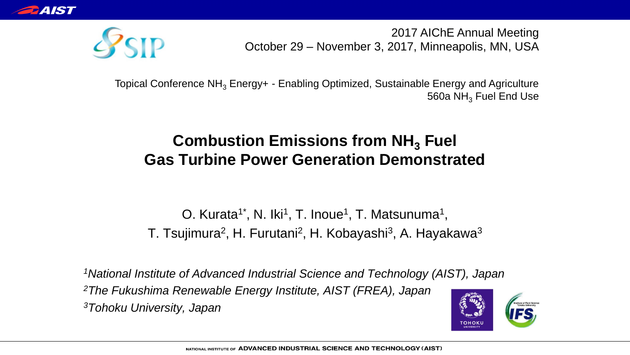

2017 AIChE Annual Meeting October 29 – November 3, 2017, Minneapolis, MN, USA



Topical Conference NH<sub>3</sub> Energy+ - Enabling Optimized, Sustainable Energy and Agriculture 560a NH<sub>3</sub> Fuel End Use

#### **Combustion Emissions from NH<sub>3</sub> Fuel Gas Turbine Power Generation Demonstrated**

O. Kurata<sup>1\*</sup>, N. Iki<sup>1</sup>, T. Inoue<sup>1</sup>, T. Matsunuma<sup>1</sup>, T. Tsujimura<sup>2</sup>, H. Furutani<sup>2</sup>, H. Kobayashi<sup>3</sup>, A. Hayakawa<sup>3</sup>

*<sup>1</sup>National Institute of Advanced Industrial Science and Technology (AIST), Japan <sup>2</sup>The Fukushima Renewable Energy Institute, AIST (FREA), Japan <sup>3</sup>Tohoku University, Japan*

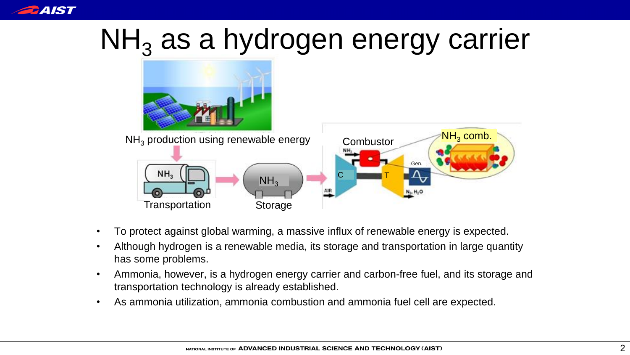

## $NH<sub>3</sub>$  as a hydrogen energy carrier



- To protect against global warming, a massive influx of renewable energy is expected.
- Although hydrogen is a renewable media, its storage and transportation in large quantity has some problems.
- Ammonia, however, is a hydrogen energy carrier and carbon-free fuel, and its storage and transportation technology is already established.
- As ammonia utilization, ammonia combustion and ammonia fuel cell are expected.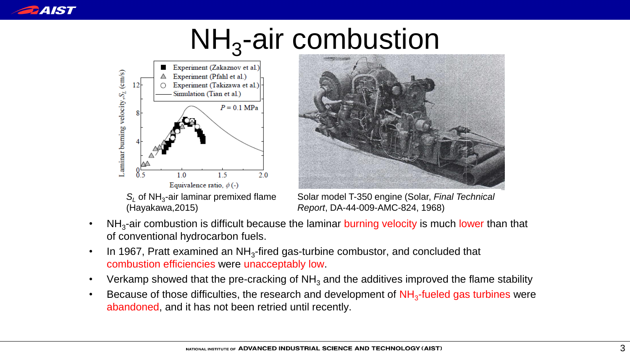

## NH<sub>3</sub>-air combustion





Solar model T-350 engine (Solar, *Final Technical Report*, DA-44-009-AMC-824, 1968)

- NH<sub>3</sub>-air combustion is difficult because the laminar burning velocity is much lower than that of conventional hydrocarbon fuels.
- In 1967, Pratt examined an NH<sub>3</sub>-fired gas-turbine combustor, and concluded that combustion efficiencies were unacceptably low.
- Verkamp showed that the pre-cracking of  $NH<sub>3</sub>$  and the additives improved the flame stability
- Because of those difficulties, the research and development of NH<sub>3</sub>-fueled gas turbines were abandoned, and it has not been retried until recently.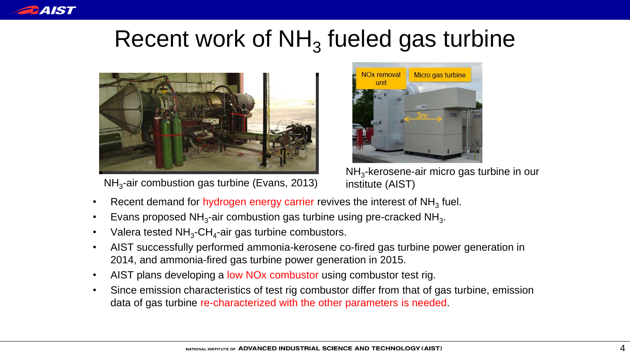

### Recent work of  $NH<sub>3</sub>$  fueled gas turbine



NH<sub>3</sub>-air combustion gas turbine (Evans, 2013) institute (AIST)



NH<sub>3</sub>-kerosene-air micro gas turbine in our

- Recent demand for hydrogen energy carrier revives the interest of  $NH<sub>3</sub>$  fuel.
- Evans proposed NH<sub>3</sub>-air combustion gas turbine using pre-cracked NH<sub>3</sub>.
- Valera tested  $NH<sub>3</sub>$ -CH<sub>4</sub>-air gas turbine combustors.
- AIST successfully performed ammonia-kerosene co-fired gas turbine power generation in 2014, and ammonia-fired gas turbine power generation in 2015.
- AIST plans developing a low NOx combustor using combustor test rig.
- Since emission characteristics of test rig combustor differ from that of gas turbine, emission data of gas turbine re-characterized with the other parameters is needed.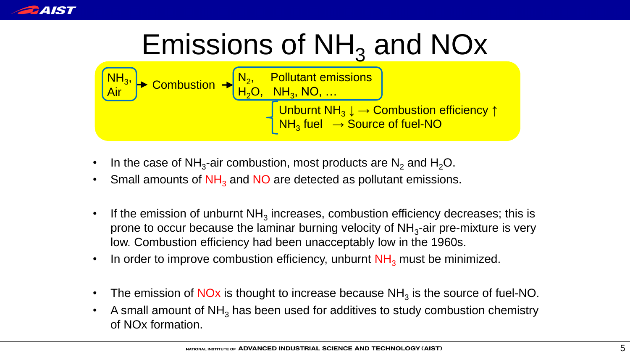

## Emissions of  $NH<sub>3</sub>$  and NOx



- In the case of NH<sub>3</sub>-air combustion, most products are N<sub>2</sub> and H<sub>2</sub>O.
- Small amounts of  $NH<sub>3</sub>$  and NO are detected as pollutant emissions.
- If the emission of unburnt  $NH<sub>3</sub>$  increases, combustion efficiency decreases; this is prone to occur because the laminar burning velocity of  $NH<sub>3</sub>$ -air pre-mixture is very low. Combustion efficiency had been unacceptably low in the 1960s.
- In order to improve combustion efficiency, unburnt  $NH<sub>3</sub>$  must be minimized.
- The emission of NOx is thought to increase because  $NH<sub>3</sub>$  is the source of fuel-NO.
- A small amount of  $NH<sub>3</sub>$  has been used for additives to study combustion chemistry of NOx formation.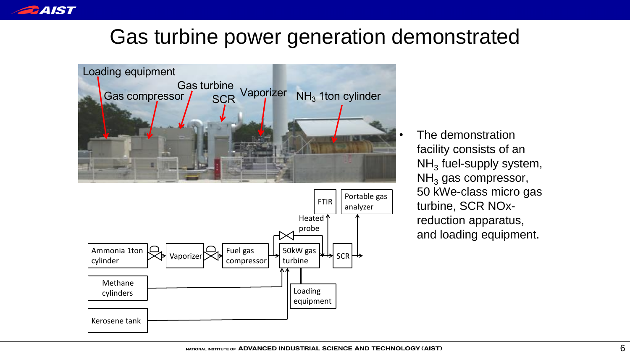

#### Gas turbine power generation demonstrated



• The demonstration facility consists of an NH $_{\rm 3}$  fuel-supply system,  $NH<sub>3</sub>$  gas compressor, 50 kWe-class micro gas turbine, SCR NOxreduction apparatus, and loading equipment.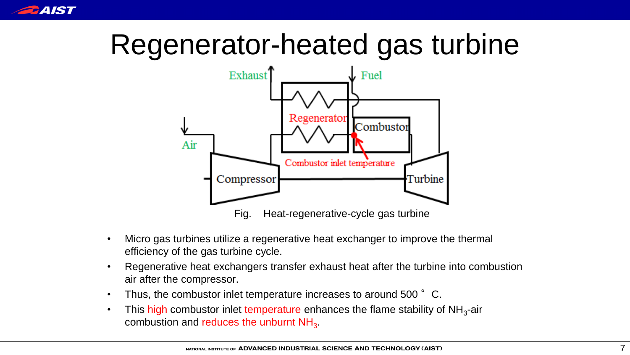

## Regenerator-heated gas turbine



- Micro gas turbines utilize a regenerative heat exchanger to improve the thermal efficiency of the gas turbine cycle.
- Regenerative heat exchangers transfer exhaust heat after the turbine into combustion air after the compressor.
- Thus, the combustor inlet temperature increases to around 500 °C.
- This high combustor inlet temperature enhances the flame stability of NH<sub>3</sub>-air combustion and reduces the unburnt  $NH<sub>3</sub>$ .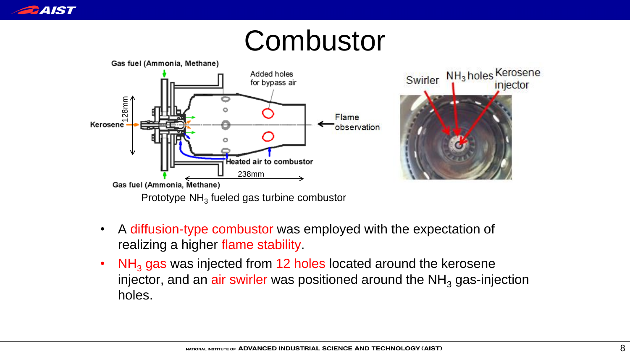

### **Combustor**



- A diffusion-type combustor was employed with the expectation of realizing a higher flame stability.
- $NH<sub>3</sub>$  gas was injected from 12 holes located around the kerosene injector, and an air swirler was positioned around the  $NH<sub>3</sub>$  gas-injection holes.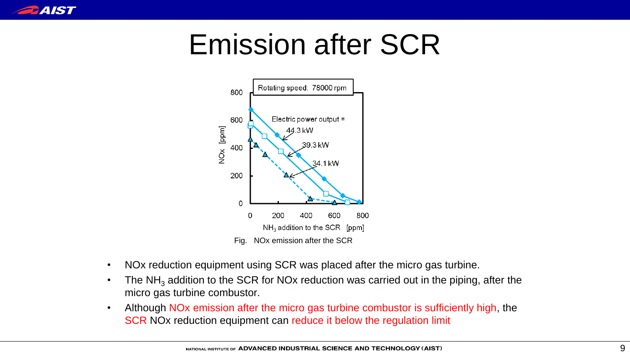

## Emission after SCR



- NOx reduction equipment using SCR was placed after the micro gas turbine.
- The NH<sub>3</sub> addition to the SCR for NOx reduction was carried out in the piping, after the micro gas turbine combustor.
- Although NO<sub>x</sub> emission after the micro gas turbine combustor is sufficiently high, the SCR NOx reduction equipment can reduce it below the regulation limit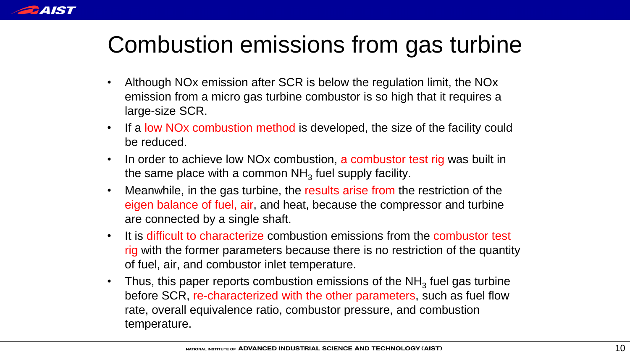

### Combustion emissions from gas turbine

- Although NOx emission after SCR is below the regulation limit, the NOx emission from a micro gas turbine combustor is so high that it requires a large-size SCR.
- If a low NOx combustion method is developed, the size of the facility could be reduced.
- In order to achieve low NOx combustion, a combustor test rig was built in the same place with a common NH<sub>3</sub> fuel supply facility.
- Meanwhile, in the gas turbine, the results arise from the restriction of the eigen balance of fuel, air, and heat, because the compressor and turbine are connected by a single shaft.
- It is difficult to characterize combustion emissions from the combustor test rig with the former parameters because there is no restriction of the quantity of fuel, air, and combustor inlet temperature.
- Thus, this paper reports combustion emissions of the NH<sub>3</sub> fuel gas turbine before SCR, re-characterized with the other parameters, such as fuel flow rate, overall equivalence ratio, combustor pressure, and combustion temperature.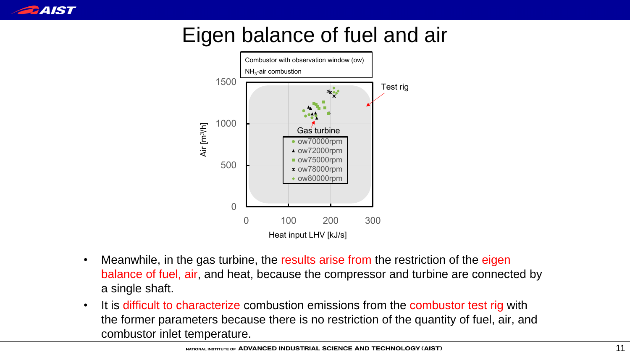

#### Eigen balance of fuel and air



- Meanwhile, in the gas turbine, the results arise from the restriction of the eigen balance of fuel, air, and heat, because the compressor and turbine are connected by a single shaft.
- It is difficult to characterize combustion emissions from the combustor test rig with the former parameters because there is no restriction of the quantity of fuel, air, and combustor inlet temperature. 0 100 200 300<br>
Heat input LHV [kJ/s]<br>
bine, the results arise from the restriction of the eigen<br>
neat, because the compressor and turbine are connected by<br>
<u>re</u> combustion emissions from the combustor test rig with<br>
bicau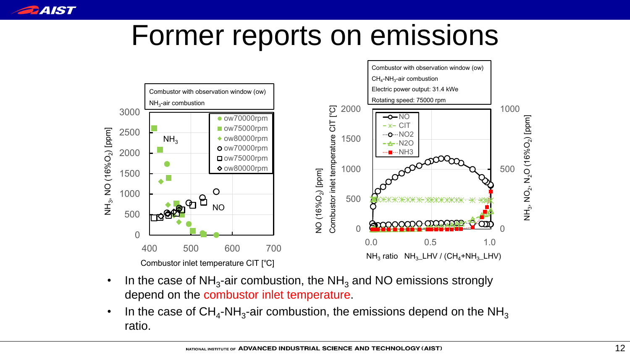

### Former reports on emissions



- In the case of  $NH<sub>3</sub>$ -air combustion, the NH<sub>3</sub> and NO emissions strongly depend on the combustor inlet temperature.
- In the case of CH<sub>4</sub>-NH<sub>3</sub>-air combustion, the emissions depend on the NH<sub>3</sub> ratio.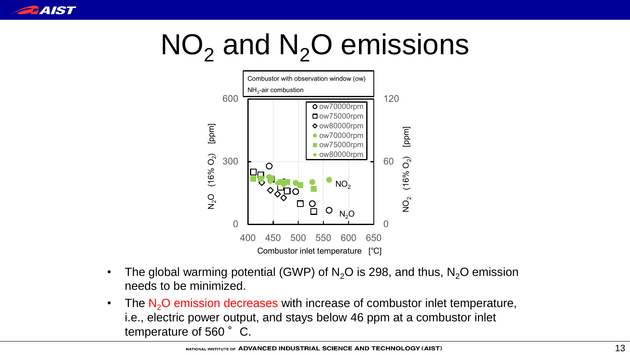

## $NO<sub>2</sub>$  and  $N<sub>2</sub>O$  emissions



- The global warming potential (GWP) of  $N<sub>2</sub>O$  is 298, and thus,  $N<sub>2</sub>O$  emission needs to be minimized.
- The  $N<sub>2</sub>O$  emission decreases with increase of combustor inlet temperature, i.e., electric power output, and stays below 46 ppm at a combustor inlet temperature of 560°C. 9, and thus,  $N_2O$  emission<br>mbustor inlet temperature,<br>m at a combustor inlet<br> $\frac{1}{13}$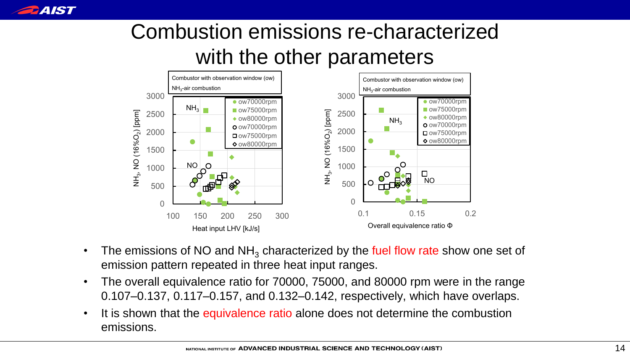

#### Combustion emissions re-characterized with the other parameters



- The emissions of NO and  $NH<sub>3</sub>$  characterized by the fuel flow rate show one set of emission pattern repeated in three heat input ranges.
- The overall equivalence ratio for 70000, 75000, and 80000 rpm were in the range 0.107–0.137, 0.117–0.157, and 0.132–0.142, respectively, which have overlaps.
- It is shown that the equivalence ratio alone does not determine the combustion emissions.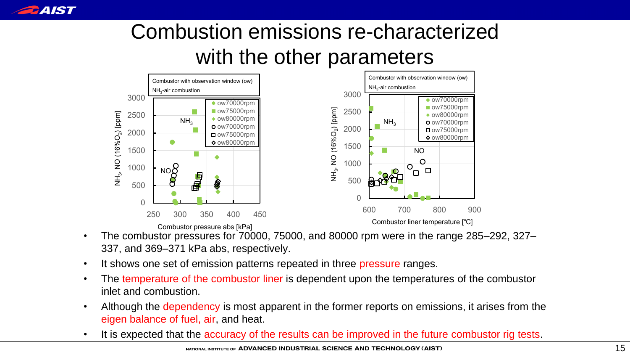

#### Combustion emissions re-characterized with the other parameters



- The combustor pressures for 70000, 75000, and 80000 rpm were in the range 285–292, 327– 337, and 369–371 kPa abs, respectively.
- It shows one set of emission patterns repeated in three pressure ranges.
- The temperature of the combustor liner is dependent upon the temperatures of the combustor inlet and combustion.
- Although the dependency is most apparent in the former reports on emissions, it arises from the eigen balance of fuel, air, and heat.
- It is expected that the accuracy of the results can be improved in the future combustor rig tests.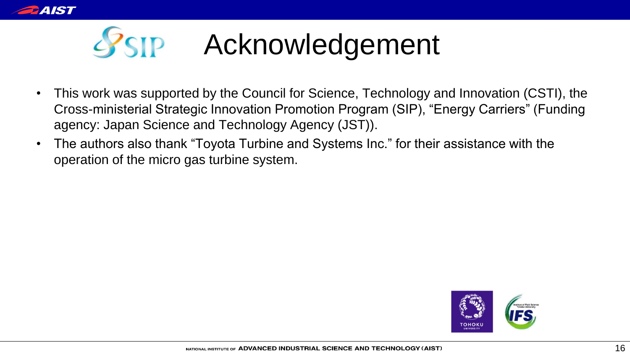

# SSIP Acknowledgement

- This work was supported by the Council for Science, Technology and Innovation (CSTI), the Cross-ministerial Strategic Innovation Promotion Program (SIP), "Energy Carriers" (Funding agency: Japan Science and Technology Agency (JST)).
- The authors also thank "Toyota Turbine and Systems Inc." for their assistance with the operation of the micro gas turbine system.